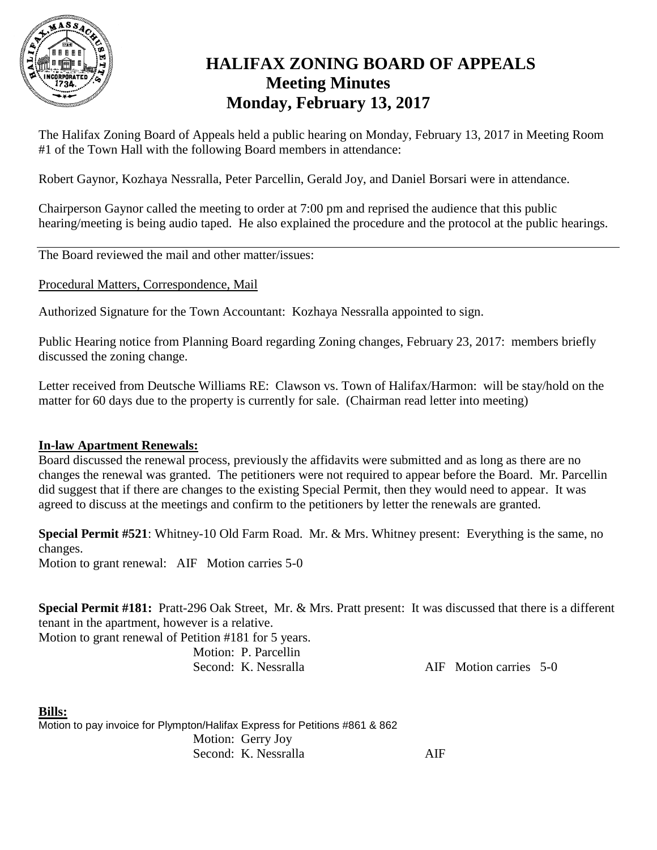

# **HALIFAX ZONING BOARD OF APPEALS Meeting Minutes Monday, February 13, 2017**

The Halifax Zoning Board of Appeals held a public hearing on Monday, February 13, 2017 in Meeting Room #1 of the Town Hall with the following Board members in attendance:

Robert Gaynor, Kozhaya Nessralla, Peter Parcellin, Gerald Joy, and Daniel Borsari were in attendance.

Chairperson Gaynor called the meeting to order at 7:00 pm and reprised the audience that this public hearing/meeting is being audio taped. He also explained the procedure and the protocol at the public hearings.

The Board reviewed the mail and other matter/issues:

Procedural Matters, Correspondence, Mail

Authorized Signature for the Town Accountant: Kozhaya Nessralla appointed to sign.

Public Hearing notice from Planning Board regarding Zoning changes, February 23, 2017: members briefly discussed the zoning change.

Letter received from Deutsche Williams RE: Clawson vs. Town of Halifax/Harmon: will be stay/hold on the matter for 60 days due to the property is currently for sale. (Chairman read letter into meeting)

### **In-law Apartment Renewals:**

Board discussed the renewal process, previously the affidavits were submitted and as long as there are no changes the renewal was granted. The petitioners were not required to appear before the Board. Mr. Parcellin did suggest that if there are changes to the existing Special Permit, then they would need to appear. It was agreed to discuss at the meetings and confirm to the petitioners by letter the renewals are granted.

**Special Permit #521**: Whitney-10 Old Farm Road. Mr. & Mrs. Whitney present: Everything is the same, no changes.

Motion to grant renewal: AIF Motion carries 5-0

**Special Permit #181:** Pratt-296 Oak Street, Mr. & Mrs. Pratt present: It was discussed that there is a different tenant in the apartment, however is a relative.

Motion to grant renewal of Petition #181 for 5 years.

Motion: P. Parcellin

Second: K. Nessralla AIF Motion carries 5-0

**Bills:**

Motion to pay invoice for Plympton/Halifax Express for Petitions #861 & 862 Motion: Gerry Joy Second: K. Nessralla AIF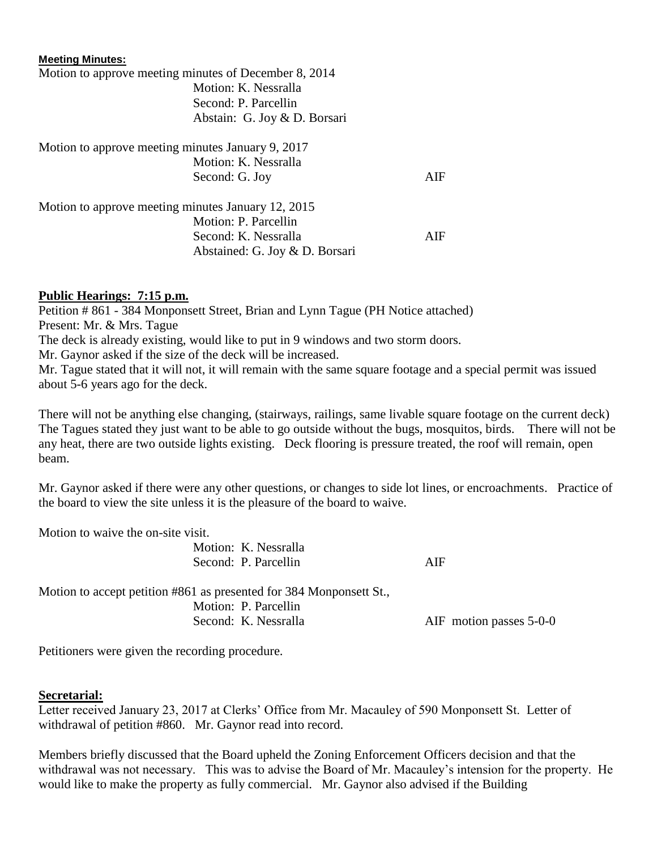| <b>Meeting Minutes:</b>                               |                                |     |  |
|-------------------------------------------------------|--------------------------------|-----|--|
| Motion to approve meeting minutes of December 8, 2014 |                                |     |  |
|                                                       | Motion: K. Nessralla           |     |  |
|                                                       | Second: P. Parcellin           |     |  |
|                                                       | Abstain: G. Joy & D. Borsari   |     |  |
| Motion to approve meeting minutes January 9, 2017     |                                |     |  |
|                                                       | Motion: K. Nessralla           |     |  |
|                                                       | Second: G. Joy                 | AIF |  |
| Motion to approve meeting minutes January 12, 2015    |                                |     |  |
|                                                       | Motion: P. Parcellin           |     |  |
|                                                       | Second: K. Nessralla           | AIF |  |
|                                                       | Abstained: G. Joy & D. Borsari |     |  |

# **Public Hearings: 7:15 p.m.**

Petition # 861 - 384 Monponsett Street, Brian and Lynn Tague (PH Notice attached) Present: Mr. & Mrs. Tague The deck is already existing, would like to put in 9 windows and two storm doors. Mr. Gaynor asked if the size of the deck will be increased. Mr. Tague stated that it will not, it will remain with the same square footage and a special permit was issued about 5-6 years ago for the deck.

There will not be anything else changing, (stairways, railings, same livable square footage on the current deck) The Tagues stated they just want to be able to go outside without the bugs, mosquitos, birds. There will not be any heat, there are two outside lights existing. Deck flooring is pressure treated, the roof will remain, open beam.

Mr. Gaynor asked if there were any other questions, or changes to side lot lines, or encroachments. Practice of the board to view the site unless it is the pleasure of the board to waive.

Motion to waive the on-site visit.

| Motion: K. Nessralla |     |
|----------------------|-----|
| Second: P. Parcellin | AIF |
|                      |     |

Motion to accept petition #861 as presented for 384 Monponsett St., Motion: P. Parcellin Second: K. Nessralla AIF motion passes 5-0-0

Petitioners were given the recording procedure.

### **Secretarial:**

Letter received January 23, 2017 at Clerks' Office from Mr. Macauley of 590 Monponsett St. Letter of withdrawal of petition #860. Mr. Gaynor read into record.

Members briefly discussed that the Board upheld the Zoning Enforcement Officers decision and that the withdrawal was not necessary. This was to advise the Board of Mr. Macauley's intension for the property. He would like to make the property as fully commercial. Mr. Gaynor also advised if the Building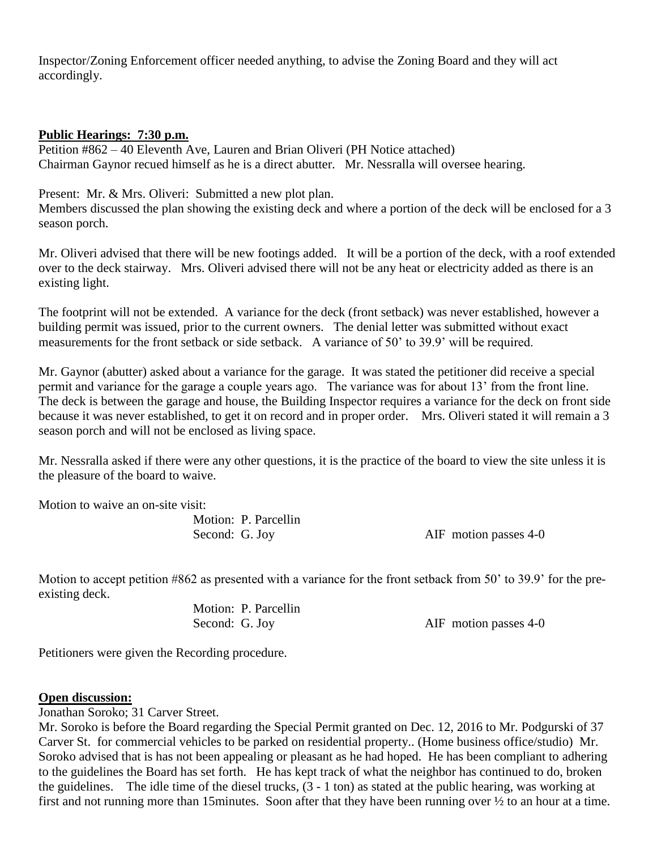Inspector/Zoning Enforcement officer needed anything, to advise the Zoning Board and they will act accordingly.

# **Public Hearings: 7:30 p.m.**

Petition #862 – 40 Eleventh Ave, Lauren and Brian Oliveri (PH Notice attached) Chairman Gaynor recued himself as he is a direct abutter. Mr. Nessralla will oversee hearing.

Present: Mr. & Mrs. Oliveri: Submitted a new plot plan.

Members discussed the plan showing the existing deck and where a portion of the deck will be enclosed for a 3 season porch.

Mr. Oliveri advised that there will be new footings added. It will be a portion of the deck, with a roof extended over to the deck stairway. Mrs. Oliveri advised there will not be any heat or electricity added as there is an existing light.

The footprint will not be extended. A variance for the deck (front setback) was never established, however a building permit was issued, prior to the current owners. The denial letter was submitted without exact measurements for the front setback or side setback. A variance of 50' to 39.9' will be required.

Mr. Gaynor (abutter) asked about a variance for the garage. It was stated the petitioner did receive a special permit and variance for the garage a couple years ago. The variance was for about 13' from the front line. The deck is between the garage and house, the Building Inspector requires a variance for the deck on front side because it was never established, to get it on record and in proper order. Mrs. Oliveri stated it will remain a 3 season porch and will not be enclosed as living space.

Mr. Nessralla asked if there were any other questions, it is the practice of the board to view the site unless it is the pleasure of the board to waive.

Motion to waive an on-site visit:

Motion: P. Parcellin

Second: G. Joy **AIF** motion passes 4-0

Motion to accept petition #862 as presented with a variance for the front setback from 50' to 39.9' for the preexisting deck.

Motion: P. Parcellin

Second: G. Joy **AIF** motion passes 4-0

Petitioners were given the Recording procedure.

### **Open discussion:**

Jonathan Soroko; 31 Carver Street.

Mr. Soroko is before the Board regarding the Special Permit granted on Dec. 12, 2016 to Mr. Podgurski of 37 Carver St. for commercial vehicles to be parked on residential property.. (Home business office/studio) Mr. Soroko advised that is has not been appealing or pleasant as he had hoped. He has been compliant to adhering to the guidelines the Board has set forth. He has kept track of what the neighbor has continued to do, broken the guidelines. The idle time of the diesel trucks, (3 - 1 ton) as stated at the public hearing, was working at first and not running more than 15minutes. Soon after that they have been running over  $\frac{1}{2}$  to an hour at a time.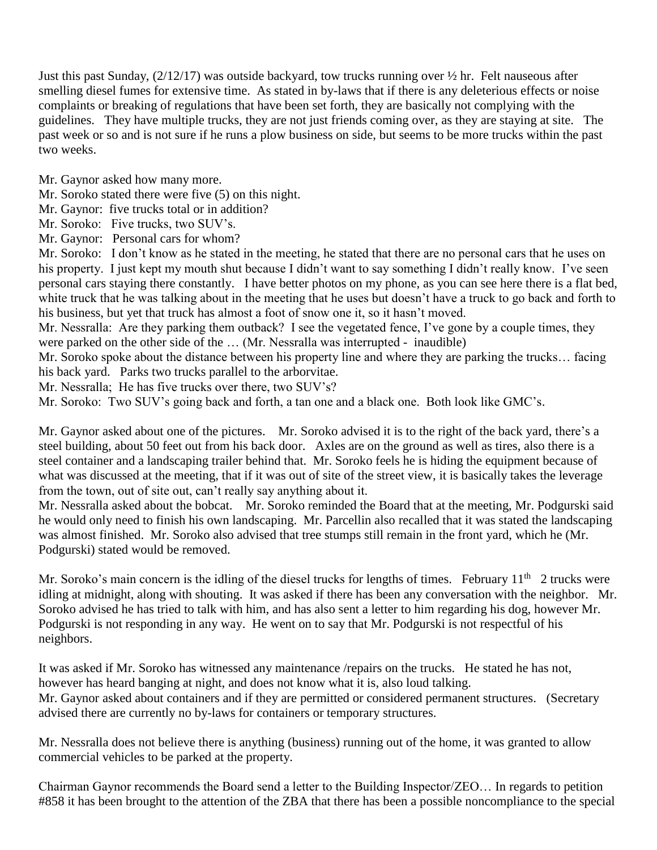Just this past Sunday, (2/12/17) was outside backyard, tow trucks running over ½ hr. Felt nauseous after smelling diesel fumes for extensive time. As stated in by-laws that if there is any deleterious effects or noise complaints or breaking of regulations that have been set forth, they are basically not complying with the guidelines. They have multiple trucks, they are not just friends coming over, as they are staying at site. The past week or so and is not sure if he runs a plow business on side, but seems to be more trucks within the past two weeks.

Mr. Gaynor asked how many more.

Mr. Soroko stated there were five (5) on this night.

Mr. Gaynor: five trucks total or in addition?

Mr. Soroko: Five trucks, two SUV's.

Mr. Gaynor: Personal cars for whom?

Mr. Soroko: I don't know as he stated in the meeting, he stated that there are no personal cars that he uses on his property. I just kept my mouth shut because I didn't want to say something I didn't really know. I've seen personal cars staying there constantly. I have better photos on my phone, as you can see here there is a flat bed, white truck that he was talking about in the meeting that he uses but doesn't have a truck to go back and forth to his business, but yet that truck has almost a foot of snow one it, so it hasn't moved.

Mr. Nessralla: Are they parking them outback? I see the vegetated fence, I've gone by a couple times, they were parked on the other side of the … (Mr. Nessralla was interrupted - inaudible)

Mr. Soroko spoke about the distance between his property line and where they are parking the trucks… facing his back yard. Parks two trucks parallel to the arborvitae.

Mr. Nessralla; He has five trucks over there, two SUV's?

Mr. Soroko: Two SUV's going back and forth, a tan one and a black one. Both look like GMC's.

Mr. Gaynor asked about one of the pictures. Mr. Soroko advised it is to the right of the back yard, there's a steel building, about 50 feet out from his back door. Axles are on the ground as well as tires, also there is a steel container and a landscaping trailer behind that. Mr. Soroko feels he is hiding the equipment because of what was discussed at the meeting, that if it was out of site of the street view, it is basically takes the leverage from the town, out of site out, can't really say anything about it.

Mr. Nessralla asked about the bobcat. Mr. Soroko reminded the Board that at the meeting, Mr. Podgurski said he would only need to finish his own landscaping. Mr. Parcellin also recalled that it was stated the landscaping was almost finished. Mr. Soroko also advised that tree stumps still remain in the front yard, which he (Mr. Podgurski) stated would be removed.

Mr. Soroko's main concern is the idling of the diesel trucks for lengths of times. February  $11<sup>th</sup>$  2 trucks were idling at midnight, along with shouting. It was asked if there has been any conversation with the neighbor. Mr. Soroko advised he has tried to talk with him, and has also sent a letter to him regarding his dog, however Mr. Podgurski is not responding in any way. He went on to say that Mr. Podgurski is not respectful of his neighbors.

It was asked if Mr. Soroko has witnessed any maintenance /repairs on the trucks. He stated he has not, however has heard banging at night, and does not know what it is, also loud talking. Mr. Gaynor asked about containers and if they are permitted or considered permanent structures. (Secretary advised there are currently no by-laws for containers or temporary structures.

Mr. Nessralla does not believe there is anything (business) running out of the home, it was granted to allow commercial vehicles to be parked at the property.

Chairman Gaynor recommends the Board send a letter to the Building Inspector/ZEO… In regards to petition #858 it has been brought to the attention of the ZBA that there has been a possible noncompliance to the special